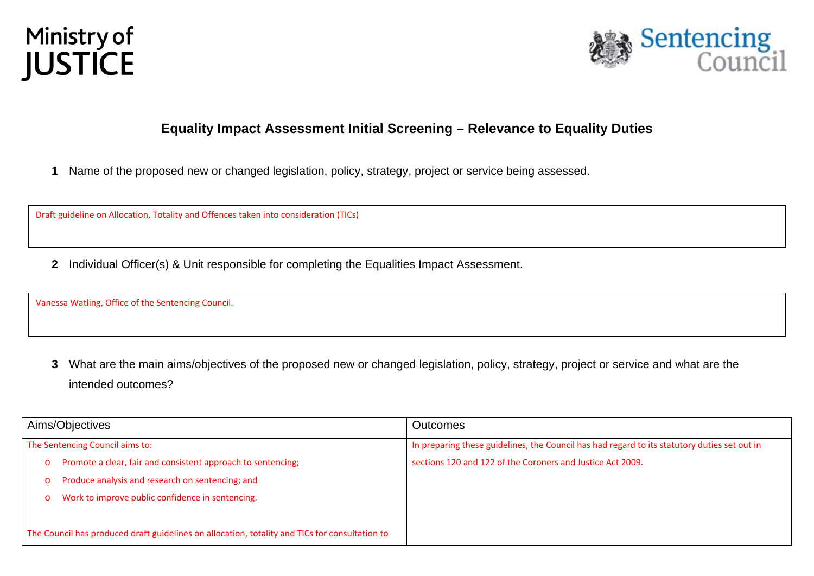



# **Equality Impact Assessment Initial Screening – Relevance to Equality Duties**

**1** Name of the proposed new or changed legislation, policy, strategy, project or service being assessed.

Draft guideline on Allocation, Totality and Offences taken into consideration (TICs)

**2** Individual Officer(s) & Unit responsible for completing the Equalities Impact Assessment.

Vanessa Watling, Office of the Sentencing Council.

**3** What are the main aims/objectives of the proposed new or changed legislation, policy, strategy, project or service and what are the intended outcomes?

| Aims/Objectives                                                                                | <b>Outcomes</b>                                                                              |
|------------------------------------------------------------------------------------------------|----------------------------------------------------------------------------------------------|
| The Sentencing Council aims to:                                                                | In preparing these guidelines, the Council has had regard to its statutory duties set out in |
| Promote a clear, fair and consistent approach to sentencing;<br>$\circ$                        | sections 120 and 122 of the Coroners and Justice Act 2009.                                   |
| Produce analysis and research on sentencing; and<br>$\circ$                                    |                                                                                              |
| Work to improve public confidence in sentencing.<br>$\circ$                                    |                                                                                              |
|                                                                                                |                                                                                              |
| The Council has produced draft guidelines on allocation, totality and TICs for consultation to |                                                                                              |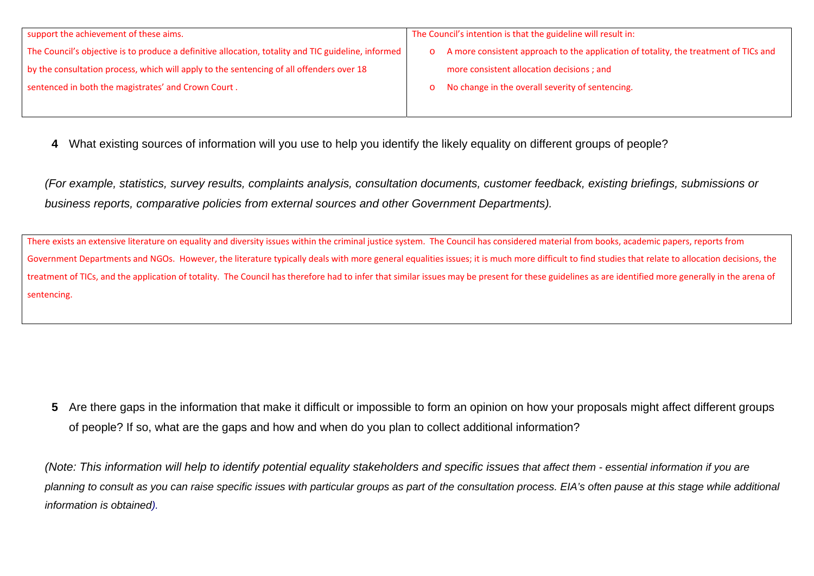| support the achievement of these aims.                                                              | The Council's intention is that the guideline will result in:                          |  |
|-----------------------------------------------------------------------------------------------------|----------------------------------------------------------------------------------------|--|
| The Council's objective is to produce a definitive allocation, totality and TIC guideline, informed | o A more consistent approach to the application of totality, the treatment of TICs and |  |
| by the consultation process, which will apply to the sentencing of all offenders over 18            | more consistent allocation decisions; and                                              |  |
| sentenced in both the magistrates' and Crown Court.                                                 | o No change in the overall severity of sentencing.                                     |  |
|                                                                                                     |                                                                                        |  |

**4** What existing sources of information will you use to help you identify the likely equality on different groups of people?

*(For example, statistics, survey results, complaints analysis, consultation documents, customer feedback, existing briefings, submissions or business reports, comparative policies from external sources and other Government Departments).* 

There exists an extensive literature on equality and diversity issues within the criminal justice system. The Council has considered material from books, academic papers, reports from Government Departments and NGOs. However, the literature typically deals with more general equalities issues; it is much more difficult to find studies that relate to allocation decisions, the treatment of TICs, and the application of totality. The Council has therefore had to infer that similar issues may be present for these guidelines as are identified more generally in the arena of sentencing.

**5** Are there gaps in the information that make it difficult or impossible to form an opinion on how your proposals might affect different groups of people? If so, what are the gaps and how and when do you plan to collect additional information?

*(Note: This information will help to identify potential equality stakeholders and specific issues that affect them - essential information if you are planning to consult as you can raise specific issues with particular groups as part of the consultation process. EIA's often pause at this stage while additional information is obtained).*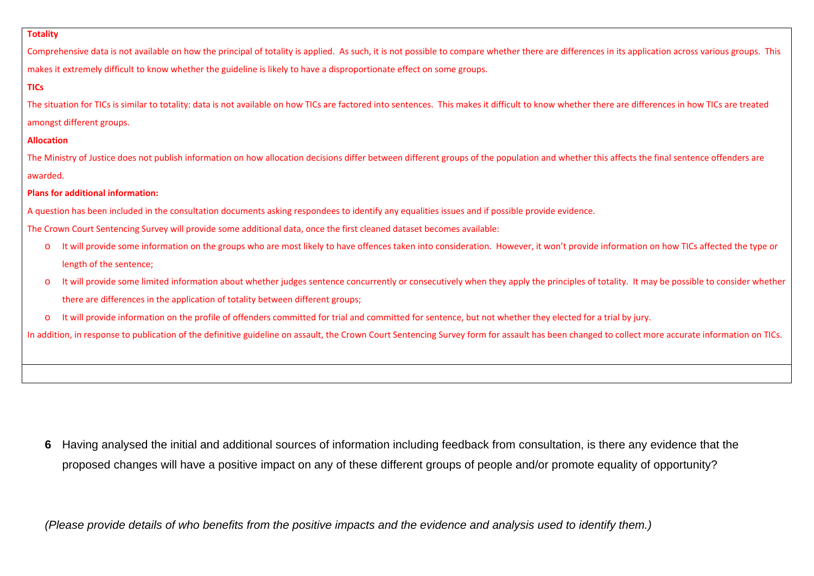#### **Totality**

Comprehensive data is not available on how the principal of totality is applied. As such, it is not possible to compare whether there are differences in its application across various groups. This makes it extremely difficult to know whether the guideline is likely to have <sup>a</sup> disproportionate effect on some groups.

## **TICs**

The situation for TICs is similar to totality: data is not available on how TICs are factored into sentences. This makes it difficult to know whether there are differences in how TICs are treated amongst different groups.

#### **Allocation**

The Ministry of Justice does not publish information on how allocation decisions differ between different groups of the population and whether this affects the final sentence offenders are awarded.

## **Plans for additional information:**

A question has been included in the consultation documents asking respondees to identify any equalities issues and if possible provide evidence.

The Crown Court Sentencing Survey will provide some additional data, once the first cleaned dataset becomes available:

- oIt will provide some information on the groups who are most likely to have offences taken into consideration. However, it won't provide information on how TICs affected the type or length of the sentence;
- oIt will provide some limited information about whether judges sentence concurrently or consecutively when they apply the principles of totality. It may be possible to consider whether there are differences in the application of totality between different groups;
- oIt will provide information on the profile of offenders committed for trial and committed for sentence, but not whether they elected for <sup>a</sup> trial by jury.

In addition, in response to publication of the definitive guideline on assault, the Crown Court Sentencing Survey form for assault has been changed to collect more accurate information on TICs.

**6** Having analysed the initial and additional sources of information including feedback from consultation, is there any evidence that the proposed changes will have a positive impact on any of these different groups of people and/or promote equality of opportunity?

*(Please provide details of who benefits from the positive impacts and the evidence and analysis used to identify them.)*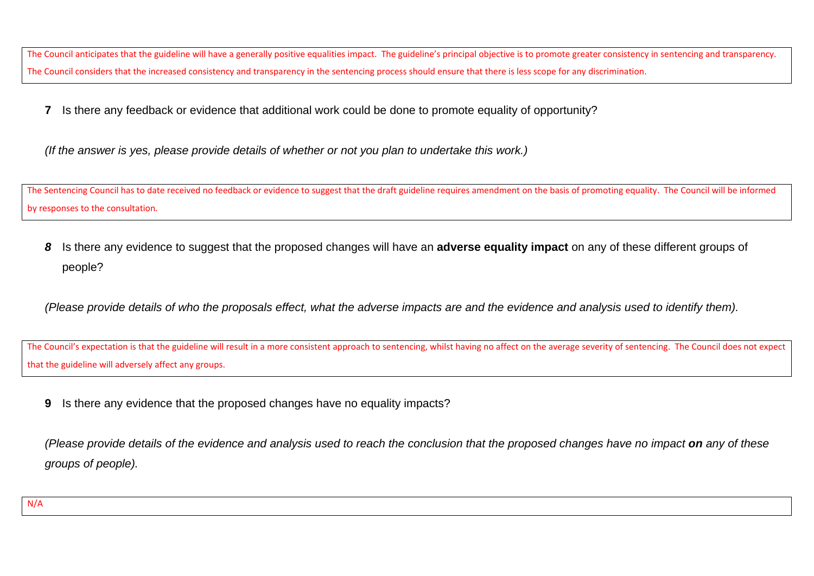The Council anticipates that the guideline will have <sup>a</sup> generally positive equalities impact. The guideline's principal objective is to promote greater consistency in sentencing and transparency. The Council considers that the increased consistency and transparency in the sentencing process should ensure that there is less scope for any discrimination.

**7** Is there any feedback or evidence that additional work could be done to promote equality of opportunity?

*(If the answer is yes, please provide details of whether or not you plan to undertake this work.)* 

The Sentencing Council has to date received no feedback or evidence to suggest that the draft guideline requires amendment on the basis of promoting equality. The Council will be informed by responses to the consultation*.*

*8* Is there any evidence to suggest that the proposed changes will have an **adverse equality impact** on any of these different groups of people?

*(Please provide details of who the proposals effect, what the adverse impacts are and the evidence and analysis used to identify them).* 

The Council's expectation is that the guideline will result in <sup>a</sup> more consistent approach to sentencing, whilst having no affect on the average severity of sentencing. The Council does not expect that the guideline will adversely affect any groups.

**9** Is there any evidence that the proposed changes have no equality impacts?

*(Please provide details of the evidence and analysis used to reach the conclusion that the proposed changes have no impact on any of these groups of people).*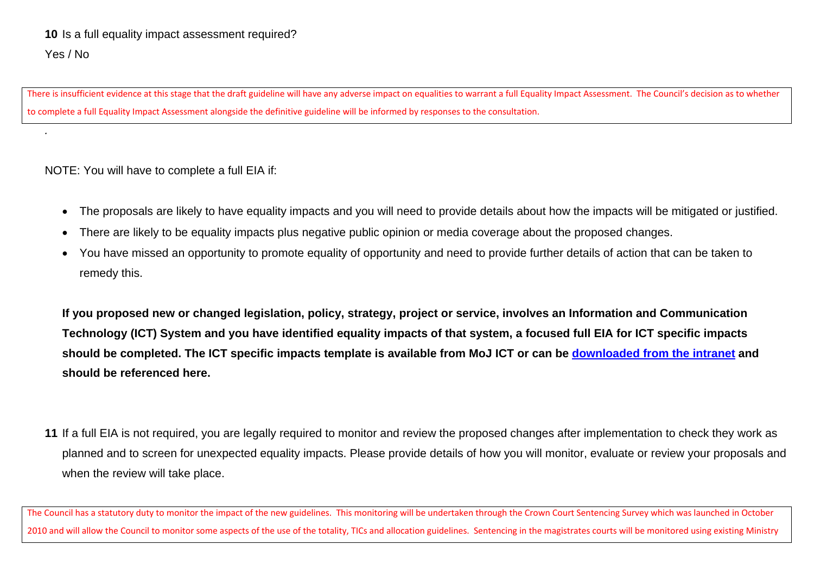There is insufficient evidence at this stage that the draft guideline will have any adverse impact on equalities to warrant <sup>a</sup> full Equality Impact Assessment. The Council's decision as to whether to complete <sup>a</sup> full Equality Impact Assessment alongside the definitive guideline will be informed by responses to the consultation.

NOTE: You will have to complete a full EIA if:

*.* 

- The proposals are likely to have equality impacts and you will need to provide details about how the impacts will be mitigated or justified.
- There are likely to be equality impacts plus negative public opinion or media coverage about the proposed changes.
- You have missed an opportunity to promote equality of opportunity and need to provide further details of action that can be taken to remedy this.

**If you proposed new or changed legislation, policy, strategy, project or service, involves an Information and Communication Technology (ICT) System and you have identified equality impacts of that system, a focused full EIA for ICT specific impacts should be completed. The ICT specific impacts template is available from MoJ ICT or can be downloaded from the intranet and should be referenced here.** 

**11** If a full EIA is not required, you are legally required to monitor and review the proposed changes after implementation to check they work as planned and to screen for unexpected equality impacts. Please provide details of how you will monitor, evaluate or review your proposals and when the review will take place.

The Council has <sup>a</sup> statutory duty to monitor the impact of the new guidelines. This monitoring will be undertaken through the Crown Court Sentencing Survey which was launched in October 2010 and will allow the Council to monitor some aspects of the use of the totality, TICs and allocation guidelines. Sentencing in the magistrates courts will be monitored using existing Ministry